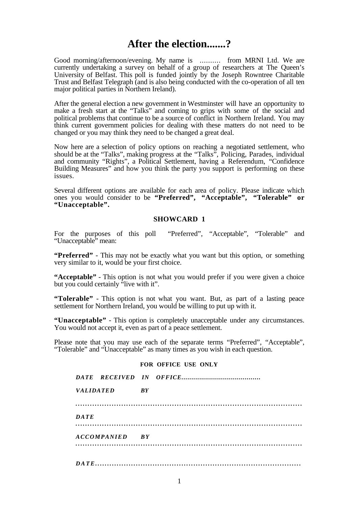# **After the election.......?**

Good morning/afternoon/evening. My name is .......... from MRNI Ltd. We are currently undertaking a survey on behalf of a group of researchers at The Queen's University of Belfast. This poll is funded jointly by the Joseph Rowntree Charitable Trust and Belfast Telegraph (and is also being conducted with the co-operation of all ten major political parties in Northern Ireland).

After the general election a new government in Westminster will have an opportunity to make a fresh start at the "Talks" and coming to grips with some of the social and political problems that continue to be a source of conflict in Northern Ireland. You may think current government policies for dealing with these matters do not need to be changed or you may think they need to be changed a great deal.

Now here are a selection of policy options on reaching a negotiated settlement, who should be at the "Talks", making progress at the "Talks", Policing, Parades, individual and community "Rights", a Political Settlement, having a Referendum, "Confidence Building Measures" and how you think the party you support is performing on these issues.

Several different options are available for each area of policy. Please indicate which ones you would consider to be **"Preferred", "Acceptable", "Tolerable" or "Unacceptable".**

#### **SHOWCARD 1**

For the purposes of this poll "Preferred", "Acceptable", "Tolerable" and "Unacceptable" mean:

**"Preferred"** - This may not be exactly what you want but this option, or something very similar to it, would be your first choice.

**"Acceptable"** - This option is not what you would prefer if you were given a choice but you could certainly "live with it".

**"Tolerable"** - This option is not what you want. But, as part of a lasting peace settlement for Northern Ireland, you would be willing to put up with it.

**"Unacceptable"** - This option is completely unacceptable under any circumstances. You would not accept it, even as part of a peace settlement.

Please note that you may use each of the separate terms "Preferred", "Acceptable", "Tolerable" and "Unacceptable" as many times as you wish in each question.

#### **FOR OFFICE USE ONLY**

| <i>VALIDATED</i> |                | $\overline{R}Y$ |  |
|------------------|----------------|-----------------|--|
|                  |                |                 |  |
| DATE             |                |                 |  |
|                  | ACCOMPANIED BY |                 |  |
|                  |                |                 |  |
|                  |                |                 |  |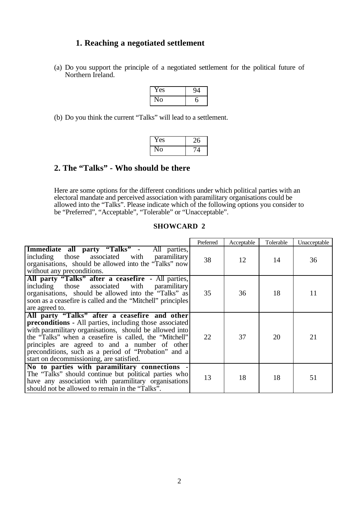## **1. Reaching a negotiated settlement**

(a) Do you support the principle of a negotiated settlement for the political future of Northern Ireland.

| í es |  |
|------|--|
| 0    |  |

(b) Do you think the current "Talks" will lead to a settlement.

| Yes               |  |
|-------------------|--|
| $\mathbf{O}$<br>L |  |

### **2. The "Talks" - Who should be there**

Here are some options for the different conditions under which political parties with an electoral mandate and perceived association with paramilitary organisations could be allowed into the "Talks". Please indicate which of the following options you consider to be "Preferred", "Acceptable", "Tolerable" or "Unacceptable".

|                                                                                                                                                                                                                                                                                                                                                                                            | Preferred | Acceptable | Tolerable | Unacceptable |
|--------------------------------------------------------------------------------------------------------------------------------------------------------------------------------------------------------------------------------------------------------------------------------------------------------------------------------------------------------------------------------------------|-----------|------------|-----------|--------------|
| Immediate all party "Talks" - All parties,<br>including those associated with<br>paramilitary<br>organisations, should be allowed into the "Talks" now<br>without any preconditions.                                                                                                                                                                                                       | 38        | 12         | 14        | 36           |
| All party "Talks" after a ceasefire - All parties,<br>including those associated with paramilitary<br>organisations, should be allowed into the "Talks" as<br>soon as a ceasefire is called and the "Mitchell" principles<br>are agreed to.                                                                                                                                                | 35        | 36         | 18        | 11           |
| All party "Talks" after a ceasefire and other<br><b>preconditions</b> - All parties, including those associated<br>with paramilitary organisations, should be allowed into<br>the "Talks" when a ceasefire is called, the "Mitchell"<br>principles are agreed to and a number of other<br>preconditions, such as a period of "Probation" and a<br>start on decommissioning, are satisfied. | 22        | 37         | 20        | 21           |
| No to parties with paramilitary connections -<br>The "Talks" should continue but political parties who<br>have any association with paramilitary organisations<br>should not be allowed to remain in the "Talks".                                                                                                                                                                          | 13        | 18         | 18        | 51           |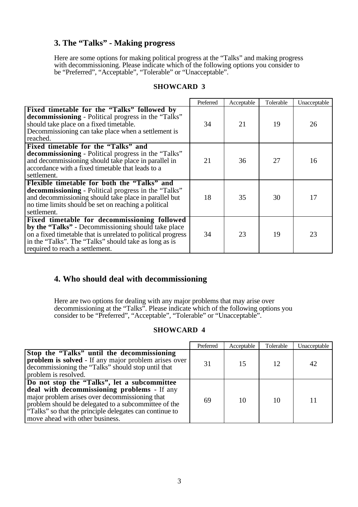# **3. The "Talks" - Making progress**

Here are some options for making political progress at the "Talks" and making progress with decommissioning. Please indicate which of the following options you consider to be "Preferred", "Acceptable", "Tolerable" or "Unacceptable".

#### **SHOWCARD 3**

|                                                                                                                                                                                                                                                                | Preferred | Acceptable | Tolerable | Unacceptable |
|----------------------------------------------------------------------------------------------------------------------------------------------------------------------------------------------------------------------------------------------------------------|-----------|------------|-----------|--------------|
| Fixed timetable for the "Talks" followed by<br><b>decommissioning</b> - Political progress in the "Talks"<br>should take place on a fixed timetable.<br>Decommissioning can take place when a settlement is<br>reached.                                        | 34        | 21         | 19        | 26           |
| Fixed timetable for the "Talks" and<br><b>decommissioning</b> - Political progress in the "Talks"<br>and decommissioning should take place in parallel in<br>accordance with a fixed timetable that leads to a<br>settlement.                                  | 21        | 36         | 27        | 16           |
| Flexible timetable for both the "Talks" and<br><b>decommissioning</b> - Political progress in the "Talks"<br>and decommissioning should take place in parallel but<br>no time limits should be set on reaching a political<br>settlement.                      | 18        | 35         | 30        | 17           |
| Fixed timetable for decommissioning followed<br>by the "Talks" - Decommissioning should take place<br>on a fixed timetable that is unrelated to political progress<br>in the "Talks". The "Talks" should take as long as is<br>required to reach a settlement. | 34        | 23         | 19        | 23           |

# **4. Who should deal with decommissioning**

Here are two options for dealing with any major problems that may arise over decommissioning at the "Talks". Please indicate which of the following options you consider to be "Preferred", "Acceptable", "Tolerable" or "Unacceptable".

|                                                                                                                                                                                                                                                                                                    | Preferred | Acceptable | Tolerable | Unacceptable |
|----------------------------------------------------------------------------------------------------------------------------------------------------------------------------------------------------------------------------------------------------------------------------------------------------|-----------|------------|-----------|--------------|
| Stop the "Talks" until the decommissioning<br><b>problem is solved</b> - If any major problem arises over<br>decommissioning the "Talks" should stop until that<br>problem is resolved.                                                                                                            | 31        | 15         | 12        | 42           |
| Do not stop the "Talks", let a subcommittee<br>deal with decommissioning problems - If any<br>major problem arises over decommissioning that<br>problem should be delegated to a subcommittee of the<br>"Talks" so that the principle delegates can continue to<br>move ahead with other business. | 69        | 10         | 10        |              |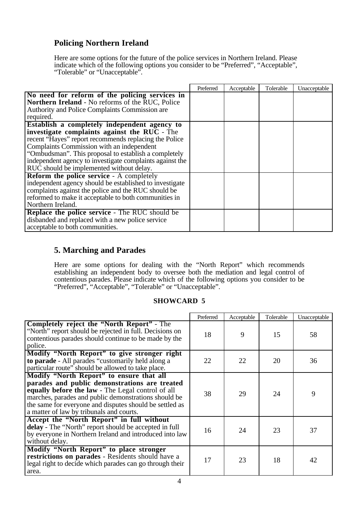# **Policing Northern Ireland**

Here are some options for the future of the police services in Northern Ireland. Please indicate which of the following options you consider to be "Preferred", "Acceptable", "Tolerable" or "Unacceptable".

|                                                          | Preferred | Acceptable | Tolerable | Unacceptable |
|----------------------------------------------------------|-----------|------------|-----------|--------------|
| No need for reform of the policing services in           |           |            |           |              |
| Northern Ireland - No reforms of the RUC, Police         |           |            |           |              |
| Authority and Police Complaints Commission are           |           |            |           |              |
| required.                                                |           |            |           |              |
| Establish a completely independent agency to             |           |            |           |              |
| investigate complaints against the RUC - The             |           |            |           |              |
| recent "Hayes" report recommends replacing the Police    |           |            |           |              |
| Complaints Commission with an independent                |           |            |           |              |
| "Ombudsman". This proposal to establish a completely     |           |            |           |              |
| independent agency to investigate complaints against the |           |            |           |              |
| RUC should be implemented without delay.                 |           |            |           |              |
| <b>Reform the police service - A completely</b>          |           |            |           |              |
| independent agency should be established to investigate  |           |            |           |              |
| complaints against the police and the RUC should be      |           |            |           |              |
| reformed to make it acceptable to both communities in    |           |            |           |              |
| Northern Ireland.                                        |           |            |           |              |
| <b>Replace the police service - The RUC should be</b>    |           |            |           |              |
| disbanded and replaced with a new police service         |           |            |           |              |
| acceptable to both communities.                          |           |            |           |              |

# **5. Marching and Parades**

Here are some options for dealing with the "North Report" which recommends establishing an independent body to oversee both the mediation and legal control of contentious parades. Please indicate which of the following options you consider to be "Preferred", "Acceptable", "Tolerable" or "Unacceptable".

|                                                                                                                                                                                                                                                                                                               | Preferred | Acceptable | Tolerable | Unacceptable |
|---------------------------------------------------------------------------------------------------------------------------------------------------------------------------------------------------------------------------------------------------------------------------------------------------------------|-----------|------------|-----------|--------------|
| <b>Completely reject the "North Report"</b> - The<br>"North" report should be rejected in full. Decisions on<br>contentious parades should continue to be made by the<br>police.                                                                                                                              | 18        | 9          | 15        | 58           |
| Modify "North Report" to give stronger right<br>to parade - All parades "customarily held along a<br>particular route" should be allowed to take place.                                                                                                                                                       | 22        | 22         | 20        | 36           |
| Modify "North Report" to ensure that all<br>parades and public demonstrations are treated<br>equally before the law - The Legal control of all<br>marches, parades and public demonstrations should be<br>the same for everyone and disputes should be settled as<br>a matter of law by tribunals and courts. | 38        | 29         | 24        | 9            |
| Accept the "North Report" in full without<br>delay - The "North" report should be accepted in full<br>by everyone in Northern Ireland and introduced into law<br>without delay.                                                                                                                               | 16        | 24         | 23        | 37           |
| Modify "North Report" to place stronger<br>restrictions on parades - Residents should have a<br>legal right to decide which parades can go through their<br>area.                                                                                                                                             | 17        | 23         | 18        | 42           |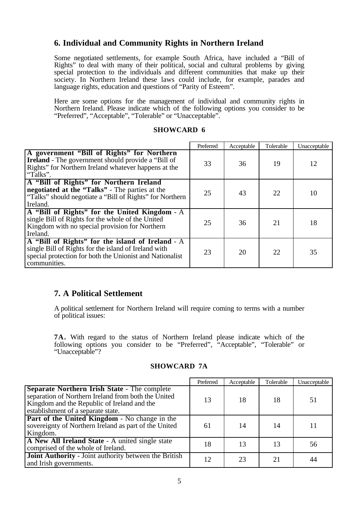# **6. Individual and Community Rights in Northern Ireland**

Some negotiated settlements, for example South Africa, have included a "Bill of Rights" to deal with many of their political, social and cultural problems by giving special protection to the individuals and different communities that make up their society. In Northern Ireland these laws could include, for example, parades and language rights, education and questions of "Parity of Esteem".

Here are some options for the management of individual and community rights in Northern Ireland. Please indicate which of the following options you consider to be "Preferred", "Acceptable", "Tolerable" or "Unacceptable".

#### **SHOWCARD 6**

|                                                                                                                                                                                      | Preferred | Acceptable | Tolerable | Unacceptable |
|--------------------------------------------------------------------------------------------------------------------------------------------------------------------------------------|-----------|------------|-----------|--------------|
| A government "Bill of Rights" for Northern<br><b>Ireland</b> - The government should provide a "Bill of<br>Rights" for Northern Ireland whatever happens at the<br>"Talks".          | 33        | 36         | 19        | 12           |
| A "Bill of Rights" for Northern Ireland<br>negotiated at the "Talks" - The parties at the<br>"Talks" should negotiate a "Bill of Rights" for Northern<br>Ireland.                    | 25        | 43         | 22        | 10           |
| A "Bill of Rights" for the United Kingdom - A<br>single Bill of Rights for the whole of the United<br>Kingdom with no special provision for Northern<br>Ireland.                     | 25        | 36         | 21        | 18           |
| A "Bill of Rights" for the island of Ireland - A<br>single Bill of Rights for the island of Ireland with<br>special protection for both the Unionist and Nationalist<br>communities. | 23        | 20         | 22        | 35           |

# **7. A Political Settlement**

A political settlement for Northern Ireland will require coming to terms with a number of political issues:

**7A.** With regard to the status of Northern Ireland please indicate which of the following options you consider to be "Preferred", "Acceptable", "Tolerable" or "Unacceptable"?

#### **SHOWCARD 7A**

|                                                                                                                                                                                                 | Preferred | Acceptable | Tolerable | Unacceptable |
|-------------------------------------------------------------------------------------------------------------------------------------------------------------------------------------------------|-----------|------------|-----------|--------------|
| <b>Separate Northern Irish State - The complete</b><br>separation of Northern Ireland from both the United<br>Kingdom and the Republic of Ireland and the<br>establishment of a separate state. | 13        | 18         | 18        | 51           |
| <b>Part of the United Kingdom</b> - No change in the<br>sovereignty of Northern Ireland as part of the United<br>Kingdom.                                                                       | 61        | 14         | 14        | 11           |
| A New All Ireland State - A united single state<br>comprised of the whole of Ireland.                                                                                                           | 18        | 13         | 13        | 56           |
| Joint Authority - Joint authority between the British<br>and Irish governments.                                                                                                                 | 12        | 23         |           | 44           |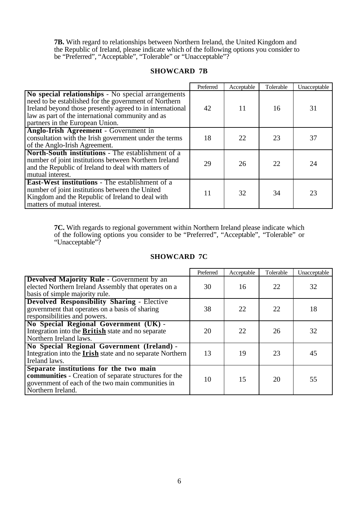**7B.** With regard to relationships between Northern Ireland, the United Kingdom and the Republic of Ireland, please indicate which of the following options you consider to be "Preferred", "Acceptable", "Tolerable" or "Unacceptable"?

#### **SHOWCARD 7B**

|                                                                                                                                                                                                                                                                  | Preferred | Acceptable | Tolerable | Unacceptable |
|------------------------------------------------------------------------------------------------------------------------------------------------------------------------------------------------------------------------------------------------------------------|-----------|------------|-----------|--------------|
| No special relationships - No special arrangements<br>need to be established for the government of Northern<br>Ireland beyond those presently agreed to in international<br>law as part of the international community and as<br>partners in the European Union. | 42        | 11         | 16        | 31           |
| Anglo-Irish Agreement - Government in<br>consultation with the Irish government under the terms<br>of the Anglo-Irish Agreement.                                                                                                                                 | 18        | 22         | 23        | 37           |
| North-South institutions - The establishment of a<br>number of joint institutions between Northern Ireland<br>and the Republic of Ireland to deal with matters of<br>mutual interest.                                                                            | 29        | 26         | 22        | 24           |
| <b>East-West institutions</b> - The establishment of a<br>number of joint institutions between the United<br>Kingdom and the Republic of Ireland to deal with<br>matters of mutual interest.                                                                     | 11        | 32         | 34        | 23           |

**7C.** With regards to regional government within Northern Ireland please indicate which of the following options you consider to be "Preferred", "Acceptable", "Tolerable" or "Unacceptable"?

#### **SHOWCARD 7C**

|                                                                                                                                                                           | Preferred | Acceptable | Tolerable | Unacceptable |
|---------------------------------------------------------------------------------------------------------------------------------------------------------------------------|-----------|------------|-----------|--------------|
| <b>Devolved Majority Rule - Government by an</b><br>elected Northern Ireland Assembly that operates on a<br>basis of simple majority rule.                                | 30        | 16         | 22        | 32           |
| <b>Devolved Responsibility Sharing - Elective</b><br>government that operates on a basis of sharing<br>responsibilities and powers.                                       | 38        | 22         | 22        | 18           |
| No Special Regional Government (UK) -<br>Integration into the <b>British</b> state and no separate<br>Northern Ireland laws.                                              | 20        | 22         | 26        | 32           |
| No Special Regional Government (Ireland) -<br>Integration into the <b>Irish</b> state and no separate Northern<br>Ireland laws.                                           | 13        | 19         | 23        | 45           |
| Separate institutions for the two main<br>communities - Creation of separate structures for the<br>government of each of the two main communities in<br>Northern Ireland. | 10        | 15         | 20        | 55           |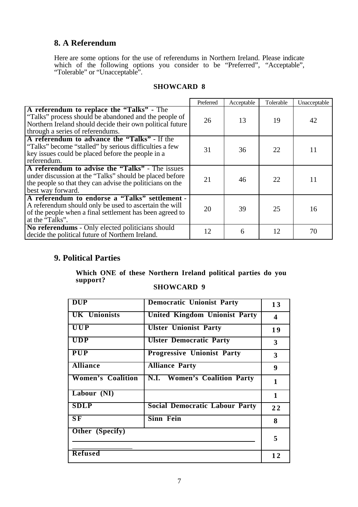## **8. A Referendum**

Here are some options for the use of referendums in Northern Ireland. Please indicate which of the following options you consider to be "Preferred", "Acceptable", "Tolerable" or "Unacceptable".

| <b>SHOWCARD 8</b> |  |
|-------------------|--|
|-------------------|--|

|                                                                                                                                                                                                     | Preferred | Acceptable | Tolerable | Unacceptable |
|-----------------------------------------------------------------------------------------------------------------------------------------------------------------------------------------------------|-----------|------------|-----------|--------------|
| A referendum to replace the "Talks" - The<br>"Talks" process should be abandoned and the people of<br>Northern Ireland should decide their own political future<br>through a series of referendums. | 26        | 13         | 19        | 42           |
| A referendum to advance the "Talks" - If the<br>"Talks" become "stalled" by serious difficulties a few<br>key issues could be placed before the people in a<br>referendum.                          | 31        | 36         | 22        | 11           |
| A referendum to advise the "Talks" - The issues<br>under discussion at the "Talks" should be placed before<br>the people so that they can advise the politicians on the<br>best way forward.        | 21        | 46         | 22        | 11           |
| A referendum to endorse a "Talks" settlement -<br>A referendum should only be used to ascertain the will<br>of the people when a final settlement has been agreed to<br>at the "Talks".             | 20        | 39         | 25        | 16           |
| No referendums - Only elected politicians should<br>decide the political future of Northern Ireland.                                                                                                | 12        | 6          | 12        | 70           |

# **9. Political Parties**

**Which ONE of these Northern Ireland political parties do you support?**

| <b>DUP</b>               | <b>Democratic Unionist Party</b>      | 13                      |
|--------------------------|---------------------------------------|-------------------------|
| <b>UK Unionists</b>      | <b>United Kingdom Unionist Party</b>  | $\overline{\mathbf{4}}$ |
| <b>UUP</b>               | <b>Ulster Unionist Party</b>          | 19                      |
| <b>UDP</b>               | <b>Ulster Democratic Party</b>        | $\mathbf{3}$            |
| <b>PUP</b>               | <b>Progressive Unionist Party</b>     | 3                       |
| <b>Alliance</b>          | <b>Alliance Party</b>                 | 9                       |
| <b>Women's Coalition</b> | N.I. Women's Coalition Party          | $\mathbf{1}$            |
| Labour (NI)              |                                       | $\mathbf{1}$            |
| <b>SDLP</b>              | <b>Social Democratic Labour Party</b> | 22                      |
| SF                       | <b>Sinn Fein</b>                      | 8                       |
| Other (Specify)          |                                       | 5                       |
|                          |                                       |                         |
| <b>Refused</b>           |                                       | 12                      |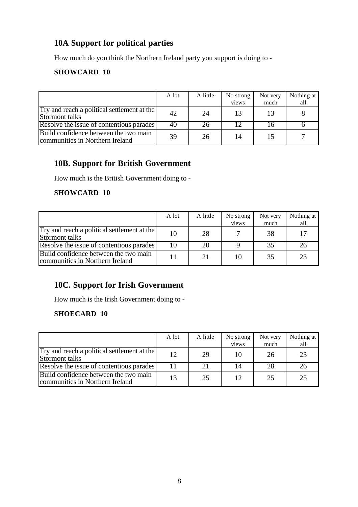# **10A Support for political parties**

How much do you think the Northern Ireland party you support is doing to -

### **SHOWCARD 10**

|                                                                          | A lot | A little | No strong | Not very | Nothing at |
|--------------------------------------------------------------------------|-------|----------|-----------|----------|------------|
|                                                                          |       |          | views     | much     | all        |
| Try and reach a political settlement at the<br>Stormont talks            | 42    | 24       | 13        | 13       |            |
| Resolve the issue of contentious parades                                 | 40    | 26       |           | Iб       |            |
| Build confidence between the two main<br>communities in Northern Ireland | 39    | 26       | 14        | 15       |            |

# **10B. Support for British Government**

How much is the British Government doing to -

#### **SHOWCARD 10**

|                                                                          | A lot | A little | No strong<br>views | Not very<br>much | Nothing at<br>all |
|--------------------------------------------------------------------------|-------|----------|--------------------|------------------|-------------------|
| Try and reach a political settlement at the<br>Stormont talks            | 10    | 28       |                    | 38               | 17                |
| Resolve the issue of contentious parades                                 | 10    | 20       |                    | 35               |                   |
| Build confidence between the two main<br>communities in Northern Ireland |       | 21       | 10                 | 35               | 23                |

# **10C. Support for Irish Government**

How much is the Irish Government doing to -

### **SHOECARD 10**

|                                                                          | A lot | A little | No strong       | Not very | Nothing at |
|--------------------------------------------------------------------------|-------|----------|-----------------|----------|------------|
|                                                                          |       |          | views           | much     | all        |
| Try and reach a political settlement at the<br>Stormont talks            | 12    | 29       | 10              | 26       | 23         |
| Resolve the issue of contentious parades                                 |       |          |                 | 28       | 26         |
| Build confidence between the two main<br>communities in Northern Ireland | 13    | 25       | 12 <sub>1</sub> | 25       | 25         |